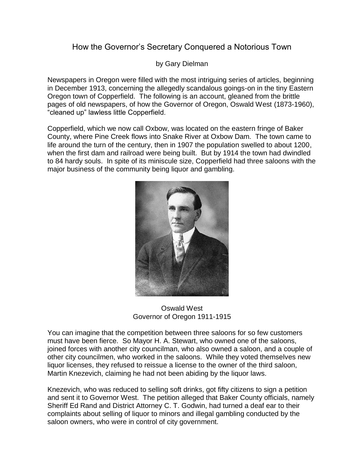## How the Governor's Secretary Conquered a Notorious Town

by Gary Dielman

Newspapers in Oregon were filled with the most intriguing series of articles, beginning in December 1913, concerning the allegedly scandalous goings-on in the tiny Eastern Oregon town of Copperfield. The following is an account, gleaned from the brittle pages of old newspapers, of how the Governor of Oregon, Oswald West (1873-1960), "cleaned up" lawless little Copperfield.

Copperfield, which we now call Oxbow, was located on the eastern fringe of Baker County, where Pine Creek flows into Snake River at Oxbow Dam. The town came to life around the turn of the century, then in 1907 the population swelled to about 1200, when the first dam and railroad were being built. But by 1914 the town had dwindled to 84 hardy souls. In spite of its miniscule size, Copperfield had three saloons with the major business of the community being liquor and gambling.



Oswald West Governor of Oregon 1911-1915

You can imagine that the competition between three saloons for so few customers must have been fierce. So Mayor H. A. Stewart, who owned one of the saloons, joined forces with another city councilman, who also owned a saloon, and a couple of other city councilmen, who worked in the saloons. While they voted themselves new liquor licenses, they refused to reissue a license to the owner of the third saloon, Martin Knezevich, claiming he had not been abiding by the liquor laws.

Knezevich, who was reduced to selling soft drinks, got fifty citizens to sign a petition and sent it to Governor West. The petition alleged that Baker County officials, namely Sheriff Ed Rand and District Attorney C. T. Godwin, had turned a deaf ear to their complaints about selling of liquor to minors and illegal gambling conducted by the saloon owners, who were in control of city government.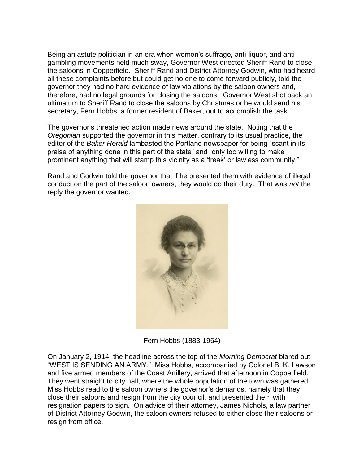Being an astute politician in an era when women's suffrage, anti-liquor, and antigambling movements held much sway, Governor West directed Sheriff Rand to close the saloons in Copperfield. Sheriff Rand and District Attorney Godwin, who had heard all these complaints before but could get no one to come forward publicly, told the governor they had no hard evidence of law violations by the saloon owners and, therefore, had no legal grounds for closing the saloons. Governor West shot back an ultimatum to Sheriff Rand to close the saloons by Christmas or he would send his secretary, Fern Hobbs, a former resident of Baker, out to accomplish the task.

The governor's threatened action made news around the state. Noting that the *Oregonian* supported the governor in this matter, contrary to its usual practice, the editor of the *Baker Herald* lambasted the Portland newspaper for being "scant in its praise of anything done in this part of the state" and "only too willing to make prominent anything that will stamp this vicinity as a 'freak' or lawless community."

Rand and Godwin told the governor that if he presented them with evidence of illegal conduct on the part of the saloon owners, they would do their duty. That was *not* the reply the governor wanted.



Fern Hobbs (1883-1964)

On January 2, 1914, the headline across the top of the *Morning Democrat* blared out "WEST IS SENDING AN ARMY." Miss Hobbs, accompanied by Colonel B. K. Lawson and five armed members of the Coast Artillery, arrived that afternoon in Copperfield. They went straight to city hall, where the whole population of the town was gathered. Miss Hobbs read to the saloon owners the governor's demands, namely that they close their saloons and resign from the city council, and presented them with resignation papers to sign. On advice of their attorney, James Nichols, a law partner of District Attorney Godwin, the saloon owners refused to either close their saloons or resign from office.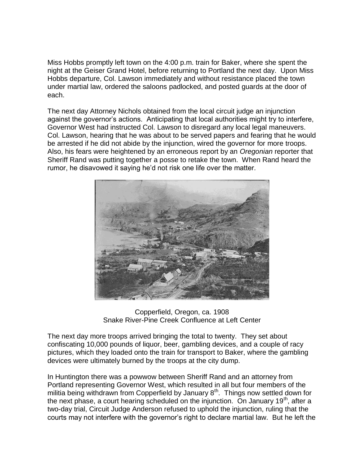Miss Hobbs promptly left town on the 4:00 p.m. train for Baker, where she spent the night at the Geiser Grand Hotel, before returning to Portland the next day. Upon Miss Hobbs departure, Col. Lawson immediately and without resistance placed the town under martial law, ordered the saloons padlocked, and posted guards at the door of each.

The next day Attorney Nichols obtained from the local circuit judge an injunction against the governor's actions. Anticipating that local authorities might try to interfere, Governor West had instructed Col. Lawson to disregard any local legal maneuvers. Col. Lawson, hearing that he was about to be served papers and fearing that he would be arrested if he did not abide by the injunction, wired the governor for more troops. Also, his fears were heightened by an erroneous report by an *Oregonian* reporter that Sheriff Rand was putting together a posse to retake the town. When Rand heard the rumor, he disavowed it saying he'd not risk one life over the matter.



Copperfield, Oregon, ca. 1908 Snake River-Pine Creek Confluence at Left Center

The next day more troops arrived bringing the total to twenty. They set about confiscating 10,000 pounds of liquor, beer, gambling devices, and a couple of racy pictures, which they loaded onto the train for transport to Baker, where the gambling devices were ultimately burned by the troops at the city dump.

In Huntington there was a powwow between Sheriff Rand and an attorney from Portland representing Governor West, which resulted in all but four members of the militia being withdrawn from Copperfield by January  $8<sup>th</sup>$ . Things now settled down for the next phase, a court hearing scheduled on the injunction. On January  $19<sup>th</sup>$ , after a two-day trial, Circuit Judge Anderson refused to uphold the injunction, ruling that the courts may not interfere with the governor's right to declare martial law. But he left the